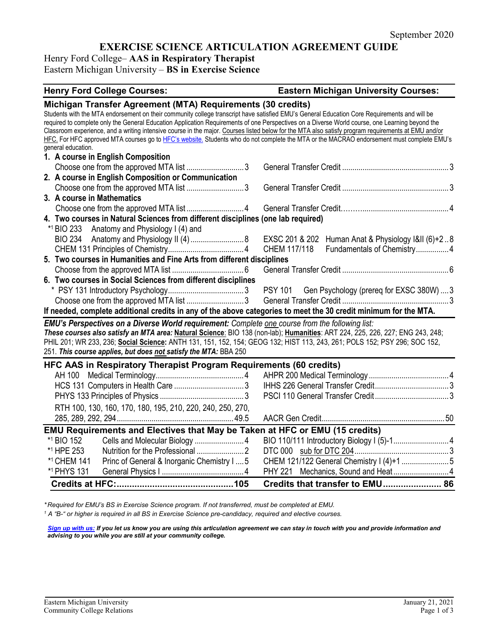# **EXERCISE SCIENCE ARTICULATION AGREEMENT GUIDE**

Henry Ford College– **AAS in Respiratory Therapist** Eastern Michigan University – **BS in Exercise Science**

## **Henry Ford College Courses: Eastern Michigan University Courses: Michigan Transfer Agreement (MTA) Requirements (30 credits)** Students with the MTA endorsement on their community college transcript have satisfied EMU's General Education Core Requirements and will be required to complete only the General Education Application Requirements of one Perspectives on a Diverse World course, one Learning beyond the Classroom experience, and a writing intensive course in the major. Courses listed below for the MTA also satisfy program requirements at EMU and/or HFC. For HFC approved MTA courses go t[o HFC's website.](https://www.hfcc.edu/registration-and-records/mta) Students who do not complete the MTA or the MACRAO endorsement must complete EMU's general education. **1. A course in English Composition** Choose one from the approved MTA list ............................3 General Transfer Credit ....................................................3 **2. A course in English Composition or Communication** Choose one from the approved MTA list ............................3 General Transfer Credit ....................................................3 **3. A course in Mathematics** Choose one from the approved MTA list ............................4 General Transfer Credit………..........................................4 **4. Two courses in Natural Sciences from different disciplines (one lab required)** \*1 BIO 233 Anatomy and Physiology I (4) and BIO 234 Anatomy and Physiology II (4)..........................8 EXSC 201 & 202 Human Anat & Physiology I&II (6)+2 ..8 CHEM 131 Principles of Chemistry.....................................4 CHEM 117/118 Fundamentals of Chemistry................4 **5. Two courses in Humanities and Fine Arts from different disciplines** Choose from the approved MTA list ...................................6 General Transfer Credit ....................................................6 **6. Two courses in Social Sciences from different disciplines** \* PSY 131 Introductory Psychology.....................................3 PSY 101 Gen Psychology (prereq for EXSC 380W) ....3 Choose one from the approved MTA list ............................3 General Transfer Credit ....................................................3 **If needed, complete additional credits in any of the above categories to meet the 30 credit minimum for the MTA.** *EMU's Perspectives on a Diverse World requirement: Complete one course from the following list: These courses also satisfy an MTA area:* **Natural Science**: BIO 138 (non-lab); **Humanities**: ART 224, 225, 226, 227; ENG 243, 248; PHIL 201; WR 233, 236; **Social Science:** ANTH 131, 151, 152, 154; GEOG 132; HIST 113, 243, 261; POLS 152; PSY 296; SOC 152, 251. *This course applies, but does not satisfy the MTA:* BBA 250 **HFC AAS in Respiratory Therapist Program Requirements (60 credits)** AH 100 Medical Terminology...........................................4 AHPR 200 Medical Terminology .......................................4 HCS 131 Computers in Health Care ..................................3 IHHS 226 General Transfer Credit....................................3 PHYS 133 Principles of Physics .........................................3 PSCI 110 General Transfer Credit....................................3 RTH 100, 130, 160, 170, 180, 195, 210, 220, 240, 250, 270, 285, 289, 292, 294......................................................... 49.5 AACR Gen Credit............................................................50 **EMU Requirements and Electives that May be Taken at HFC or EMU (15 credits)** \*1 BIO 152 Cells and Molecular Biology ........................4 BIO 110/111 Introductory Biology I (5)-1...........................4 \*1 HPE 253 Nutrition for the Professional .......................2 DTC 000 sub for DTC 204..............................................3 \*1 CHEM 141 Princ of General & Inorganic Chemistry I ....5 CHEM 121/122 General Chemistry I (4)+1 .......................5 \*1 PHYS 131 General Physics I ........................................4 PHY 221 Mechanics, Sound and Heat ...........................4 **Credits at HFC:..............................................105 Credits that transfer to EMU....................... 86**

*\* Required for EMU's BS in Exercise Science program. If not transferred, must be completed at EMU.* 

*<sup>1</sup> A "B-" or higher is required in all BS in Exercise Science pre-candidacy, required and elective courses.* 

*[Sign up with us:](https://www.emich.edu/ccr/articulation-agreements/signup.php) If you let us know you are using this articulation agreement we can stay in touch with you and provide information and advising to you while you are still at your community college.*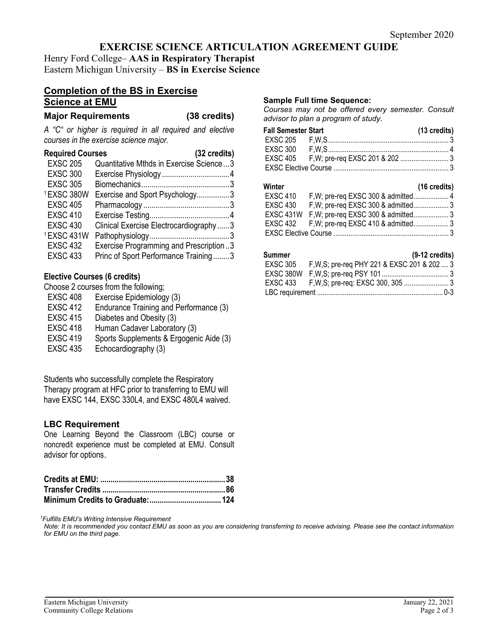# **EXERCISE SCIENCE ARTICULATION AGREEMENT GUIDE**

Henry Ford College– **AAS in Respiratory Therapist** Eastern Michigan University – **BS in Exercise Science**

# **Completion of the BS in Exercise Science at EMU**

**Major Requirements (38 credits)**

*A "C" or higher is required in all required and elective courses in the exercise science major.*

| <b>Required Courses</b><br>(32 credits) |                                         |
|-----------------------------------------|-----------------------------------------|
| <b>EXSC 205</b>                         | Quantitative Mthds in Exercise Science3 |
| <b>EXSC 300</b>                         |                                         |
| <b>EXSC 305</b>                         |                                         |
| 1EXSC 380W                              | Exercise and Sport Psychology3          |
| <b>EXSC 405</b>                         |                                         |
| <b>EXSC 410</b>                         |                                         |
| <b>EXSC 430</b>                         | Clinical Exercise Electrocardiography3  |
| 1EXSC 431W                              |                                         |
| <b>EXSC 432</b>                         | Exercise Programming and Prescription3  |
| <b>EXSC 433</b>                         | Princ of Sport Performance Training3    |

## **Elective Courses (6 credits)**

Choose 2 courses from the following;

- EXSC 408 Exercise Epidemiology (3)
- EXSC 412 Endurance Training and Performance (3)
- EXSC 415 Diabetes and Obesity (3)
- EXSC 418 Human Cadaver Laboratory (3)
- EXSC 419 Sports Supplements & Ergogenic Aide (3)
- EXSC 435 Echocardiography (3)

Students who successfully complete the Respiratory Therapy program at HFC prior to transferring to EMU will have EXSC 144, EXSC 330L4, and EXSC 480L4 waived.

## **LBC Requirement**

One Learning Beyond the Classroom (LBC) course or noncredit experience must be completed at EMU. Consult advisor for options.

*1 Fulfills EMU's Writing Intensive Requirement*

*Note: It is recommended you contact EMU as soon as you are considering transferring to receive advising. Please see the contact information for EMU on the third page.*

### **Sample Full time Sequence:**

*Courses may not be offered every semester. Consult advisor to plan a program of study.*

| <b>Fall Semester Start</b> |  | (13 credits) |
|----------------------------|--|--------------|
|                            |  |              |
|                            |  |              |
|                            |  |              |
|                            |  |              |

| Winter          |                                               | $(16 \text{ credits})$ |
|-----------------|-----------------------------------------------|------------------------|
| <b>EXSC 410</b> |                                               |                        |
| <b>EXSC 430</b> |                                               |                        |
|                 | EXSC 431W F, W; pre-req EXSC 300 & admitted 3 |                        |
|                 |                                               |                        |
|                 |                                               |                        |

## **Summer (9-12 credits)**

| . |                                                       |  |
|---|-------------------------------------------------------|--|
|   | EXSC 305 F, W, S; pre-req PHY 221 & EXSC 201 & 202  3 |  |
|   |                                                       |  |
|   |                                                       |  |
|   |                                                       |  |